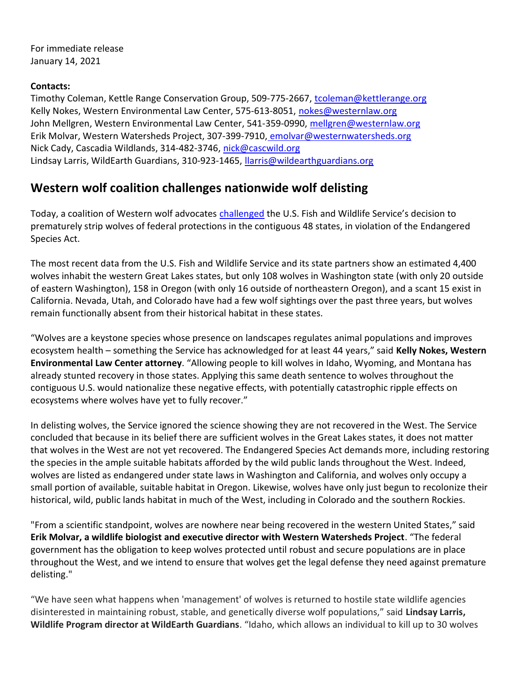For immediate release January 14, 2021

## Contacts:

Timothy Coleman, Kettle Range Conservation Group, 509-775-2667, tcoleman@kettlerange.org Kelly Nokes, Western Environmental Law Center, 575-613-8051, nokes@westernlaw.org John Mellgren, Western Environmental Law Center, 541-359-0990, mellgren@westernlaw.org Erik Molvar, Western Watersheds Project, 307-399-7910, emolvar@westernwatersheds.org Nick Cady, Cascadia Wildlands, 314-482-3746, nick@cascwild.org Lindsay Larris, WildEarth Guardians, 310-923-1465, llarris@wildearthguardians.org

## Western wolf coalition challenges nationwide wolf delisting

Today, a coalition of Western wolf advocates challenged the U.S. Fish and Wildlife Service's decision to prematurely strip wolves of federal protections in the contiguous 48 states, in violation of the Endangered Species Act.

The most recent data from the U.S. Fish and Wildlife Service and its state partners show an estimated 4,400 wolves inhabit the western Great Lakes states, but only 108 wolves in Washington state (with only 20 outside of eastern Washington), 158 in Oregon (with only 16 outside of northeastern Oregon), and a scant 15 exist in California. Nevada, Utah, and Colorado have had a few wolf sightings over the past three years, but wolves remain functionally absent from their historical habitat in these states.

"Wolves are a keystone species whose presence on landscapes regulates animal populations and improves ecosystem health – something the Service has acknowledged for at least 44 years," said Kelly Nokes, Western Environmental Law Center attorney. "Allowing people to kill wolves in Idaho, Wyoming, and Montana has already stunted recovery in those states. Applying this same death sentence to wolves throughout the contiguous U.S. would nationalize these negative effects, with potentially catastrophic ripple effects on ecosystems where wolves have yet to fully recover."

In delisting wolves, the Service ignored the science showing they are not recovered in the West. The Service concluded that because in its belief there are sufficient wolves in the Great Lakes states, it does not matter that wolves in the West are not yet recovered. The Endangered Species Act demands more, including restoring the species in the ample suitable habitats afforded by the wild public lands throughout the West. Indeed, wolves are listed as endangered under state laws in Washington and California, and wolves only occupy a small portion of available, suitable habitat in Oregon. Likewise, wolves have only just begun to recolonize their historical, wild, public lands habitat in much of the West, including in Colorado and the southern Rockies.

"From a scientific standpoint, wolves are nowhere near being recovered in the western United States," said Erik Molvar, a wildlife biologist and executive director with Western Watersheds Project. "The federal government has the obligation to keep wolves protected until robust and secure populations are in place throughout the West, and we intend to ensure that wolves get the legal defense they need against premature delisting."

"We have seen what happens when 'management' of wolves is returned to hostile state wildlife agencies disinterested in maintaining robust, stable, and genetically diverse wolf populations," said Lindsay Larris, Wildlife Program director at WildEarth Guardians. "Idaho, which allows an individual to kill up to 30 wolves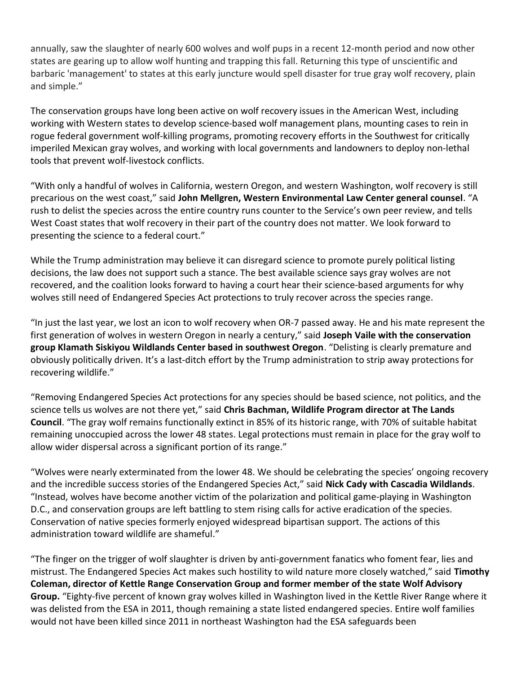annually, saw the slaughter of nearly 600 wolves and wolf pups in a recent 12-month period and now other states are gearing up to allow wolf hunting and trapping this fall. Returning this type of unscientific and barbaric 'management' to states at this early juncture would spell disaster for true gray wolf recovery, plain and simple."

The conservation groups have long been active on wolf recovery issues in the American West, including working with Western states to develop science-based wolf management plans, mounting cases to rein in rogue federal government wolf-killing programs, promoting recovery efforts in the Southwest for critically imperiled Mexican gray wolves, and working with local governments and landowners to deploy non-lethal tools that prevent wolf-livestock conflicts.

"With only a handful of wolves in California, western Oregon, and western Washington, wolf recovery is still precarious on the west coast," said John Mellgren, Western Environmental Law Center general counsel. "A rush to delist the species across the entire country runs counter to the Service's own peer review, and tells West Coast states that wolf recovery in their part of the country does not matter. We look forward to presenting the science to a federal court."

While the Trump administration may believe it can disregard science to promote purely political listing decisions, the law does not support such a stance. The best available science says gray wolves are not recovered, and the coalition looks forward to having a court hear their science-based arguments for why wolves still need of Endangered Species Act protections to truly recover across the species range.

"In just the last year, we lost an icon to wolf recovery when OR-7 passed away. He and his mate represent the first generation of wolves in western Oregon in nearly a century," said Joseph Vaile with the conservation group Klamath Siskiyou Wildlands Center based in southwest Oregon. "Delisting is clearly premature and obviously politically driven. It's a last-ditch effort by the Trump administration to strip away protections for recovering wildlife."

"Removing Endangered Species Act protections for any species should be based science, not politics, and the science tells us wolves are not there yet," said Chris Bachman, Wildlife Program director at The Lands Council. "The gray wolf remains functionally extinct in 85% of its historic range, with 70% of suitable habitat remaining unoccupied across the lower 48 states. Legal protections must remain in place for the gray wolf to allow wider dispersal across a significant portion of its range."

"Wolves were nearly exterminated from the lower 48. We should be celebrating the species' ongoing recovery and the incredible success stories of the Endangered Species Act," said Nick Cady with Cascadia Wildlands. "Instead, wolves have become another victim of the polarization and political game-playing in Washington D.C., and conservation groups are left battling to stem rising calls for active eradication of the species. Conservation of native species formerly enjoyed widespread bipartisan support. The actions of this administration toward wildlife are shameful."

"The finger on the trigger of wolf slaughter is driven by anti-government fanatics who foment fear, lies and mistrust. The Endangered Species Act makes such hostility to wild nature more closely watched," said Timothy Coleman, director of Kettle Range Conservation Group and former member of the state Wolf Advisory Group. "Eighty-five percent of known gray wolves killed in Washington lived in the Kettle River Range where it was delisted from the ESA in 2011, though remaining a state listed endangered species. Entire wolf families would not have been killed since 2011 in northeast Washington had the ESA safeguards been